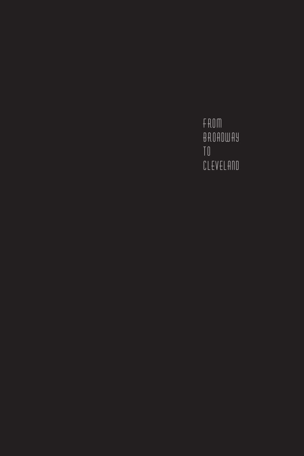FROM BROADWAY  $10<sup>-1</sup>$ CLEVELAND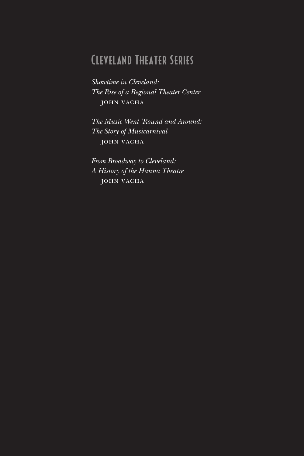### Cleveland Theater Series

*Showtime in Cleveland: The Rise of a Regional Theater Center* John Vacha

*The Music Went 'Round and Around: The Story of Musicarnival* John Vacha

*From Broadway to Cleveland: A History of the Hanna Theatre* John Vacha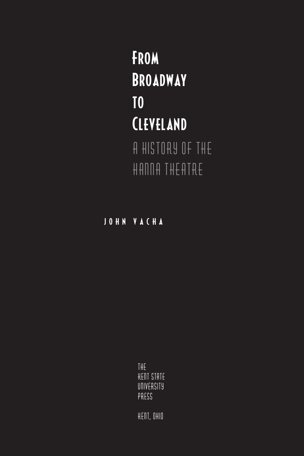### **FROM** Broadway to CLEVELAND **A History of the Hanna Theatre**

John Va c h a

**The Kent State University Press**

**Kent, Ohio**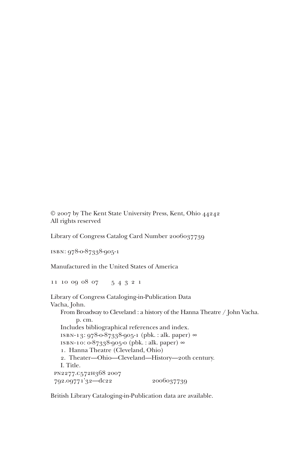© 2007 by The Kent State University Press, Kent, Ohio 44242 All rights reserved

Library of Congress Catalog Card Number 2006037739

isbn: 978-0-87338-905-1

Manufactured in the United States of America

11 10 09 08 07 5 4 3 2 1

Library of Congress Cataloging-in-Publication Data Vacha, John. From Broadway to Cleveland : a history of the Hanna Theatre / John Vacha. p. cm. Includes bibliographical references and index. isbn-13: 978-0-87338-905-1 (pbk. : alk. paper) ∞ isbn-10: 0-87338-905-0 (pbk. : alk. paper) ∞ 1. Hanna Theatre (Cleveland, Ohio) 2. Theater—Ohio—Cleveland—History—20th century. I. Title. pn2277.c572h368 2007 792.09771'32—dc22 2006037739

British Library Cataloging-in-Publication data are available.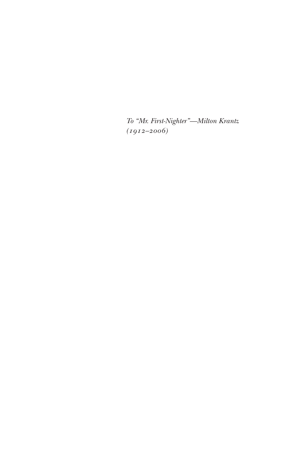*To "Mr. First-Nighter"—Milton Krantz (1912–2006)*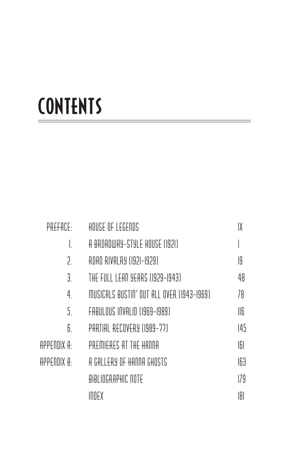# **CONTENTS**

| PREFACE:    | HOUSE OF LEGENDS                          | IX  |
|-------------|-------------------------------------------|-----|
|             | A BROADWAY-STYLE HOUSE (1921)             |     |
| ገ           | ROAD RIVALRY (1921–1929)                  | 19  |
| 3.          | THE FULL LEAN YEARS (1929-1943)           | 48  |
| 4.          | MUSICALS BUSTIN´ OUT ALL OVER (1943–1969) | 78  |
| 5.          | FABULOUS INVALID (1969–1989)              | 116 |
| 6.          | PARTIAL RECOVERY (1989-??)                | 145 |
| APPENDIX A  | PREMIERES AT THE HANNA                    | 161 |
| APPENDIX B: | A GALLERY OF HANNA GHOSTS                 | 163 |
|             | BIBLIOGRAPHIC NOTE                        | 179 |
|             | INDEX                                     | 181 |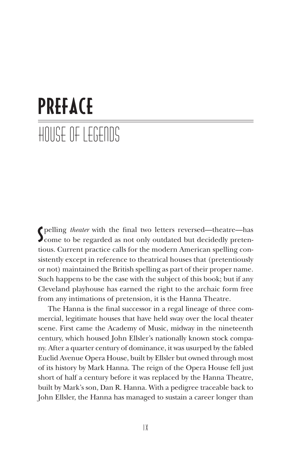# PREFACE House of legends

Spelling *theater* with the final two letters reversed—theatre—has<br>Scome to be regarded as not only outdated but decidedly pretenpelling *theater* with the final two letters reversed—theatre—has tious. Current practice calls for the modern American spelling consistently except in reference to theatrical houses that (pretentiously or not) maintained the British spelling as part of their proper name. Such happens to be the case with the subject of this book; but if any Cleveland playhouse has earned the right to the archaic form free from any intimations of pretension, it is the Hanna Theatre.

The Hanna is the final successor in a regal lineage of three commercial, legitimate houses that have held sway over the local theater scene. First came the Academy of Music, midway in the nineteenth century, which housed John Ellsler's nationally known stock company. After a quarter century of dominance, it was usurped by the fabled Euclid Avenue Opera House, built by Ellsler but owned through most of its history by Mark Hanna. The reign of the Opera House fell just short of half a century before it was replaced by the Hanna Theatre, built by Mark's son, Dan R. Hanna. With a pedigree traceable back to John Ellsler, the Hanna has managed to sustain a career longer than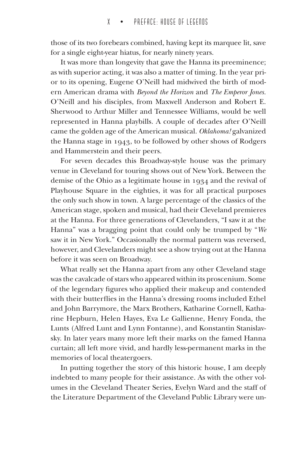those of its two forebears combined, having kept its marquee lit, save for a single eight-year hiatus, for nearly ninety years.

It was more than longevity that gave the Hanna its preeminence; as with superior acting, it was also a matter of timing. In the year prior to its opening, Eugene O'Neill had midwived the birth of modern American drama with *Beyond the Horizon* and *The Emperor Jones.* O'Neill and his disciples, from Maxwell Anderson and Robert E. Sherwood to Arthur Miller and Tennessee Williams, would be well represented in Hanna playbills. A couple of decades after O'Neill came the golden age of the American musical. *Oklahoma!* galvanized the Hanna stage in 1943, to be followed by other shows of Rodgers and Hammerstein and their peers.

For seven decades this Broadway-style house was the primary venue in Cleveland for touring shows out of New York. Between the demise of the Ohio as a legitimate house in 1934 and the revival of Playhouse Square in the eighties, it was for all practical purposes the only such show in town. A large percentage of the classics of the American stage, spoken and musical, had their Cleveland premieres at the Hanna. For three generations of Clevelanders, "I saw it at the Hanna" was a bragging point that could only be trumped by "*We* saw it in New York." Occasionally the normal pattern was reversed, however, and Clevelanders might see a show trying out at the Hanna before it was seen on Broadway.

What really set the Hanna apart from any other Cleveland stage was the cavalcade of stars who appeared within its proscenium. Some of the legendary figures who applied their makeup and contended with their butterflies in the Hanna's dressing rooms included Ethel and John Barrymore, the Marx Brothers, Katharine Cornell, Katharine Hepburn, Helen Hayes, Eva Le Gallienne, Henry Fonda, the Lunts (Alfred Lunt and Lynn Fontanne), and Konstantin Stanislavsky. In later years many more left their marks on the famed Hanna curtain; all left more vivid, and hardly less-permanent marks in the memories of local theatergoers.

In putting together the story of this historic house, I am deeply indebted to many people for their assistance. As with the other volumes in the Cleveland Theater Series, Evelyn Ward and the staff of the Literature Department of the Cleveland Public Library were un-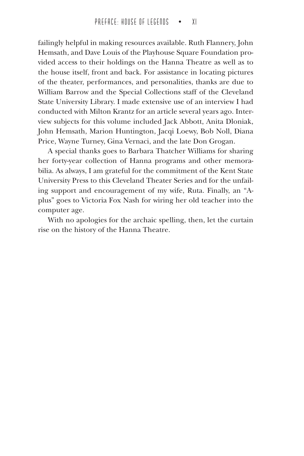failingly helpful in making resources available. Ruth Flannery, John Hemsath, and Dave Louis of the Playhouse Square Foundation provided access to their holdings on the Hanna Theatre as well as to the house itself, front and back. For assistance in locating pictures of the theater, performances, and personalities, thanks are due to William Barrow and the Special Collections staff of the Cleveland State University Library. I made extensive use of an interview I had conducted with Milton Krantz for an article several years ago. Interview subjects for this volume included Jack Abbott, Anita Dloniak, John Hemsath, Marion Huntington, Jacqi Loewy, Bob Noll, Diana Price, Wayne Turney, Gina Vernaci, and the late Don Grogan.

A special thanks goes to Barbara Thatcher Williams for sharing her forty-year collection of Hanna programs and other memorabilia. As always, I am grateful for the commitment of the Kent State University Press to this Cleveland Theater Series and for the unfailing support and encouragement of my wife, Ruta. Finally, an "Aplus" goes to Victoria Fox Nash for wiring her old teacher into the computer age.

With no apologies for the archaic spelling, then, let the curtain rise on the history of the Hanna Theatre.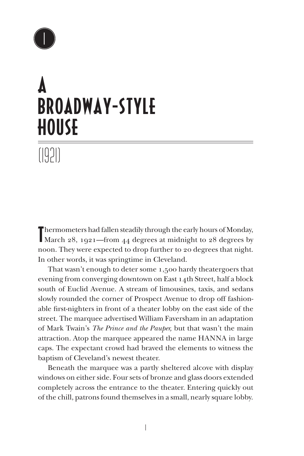

## A Broadway-Style **HOUSE**

(1921)

Thermometers had fallen steadily through the early hours of Monday,<br>March 28, 1921—from 44 degrees at midnight to 28 degrees by Thermometers had fallen steadily through the early hours of Monday, noon. They were expected to drop further to 20 degrees that night. In other words, it was springtime in Cleveland.

That wasn't enough to deter some 1,500 hardy theatergoers that evening from converging downtown on East 14th Street, half a block south of Euclid Avenue. A stream of limousines, taxis, and sedans slowly rounded the corner of Prospect Avenue to drop off fashionable first-nighters in front of a theater lobby on the east side of the street. The marquee advertised William Faversham in an adaptation of Mark Twain's *The Prince and the Pauper,* but that wasn't the main attraction. Atop the marquee appeared the name HANNA in large caps. The expectant crowd had braved the elements to witness the baptism of Cleveland's newest theater.

Beneath the marquee was a partly sheltered alcove with display windows on either side. Four sets of bronze and glass doors extended completely across the entrance to the theater. Entering quickly out of the chill, patrons found themselves in a small, nearly square lobby.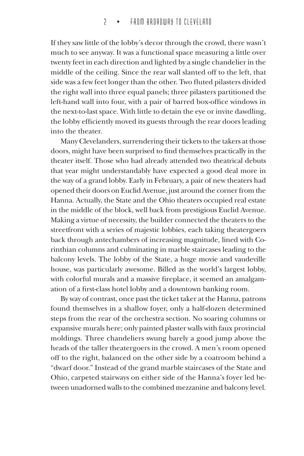If they saw little of the lobby's decor through the crowd, there wasn't much to see anyway. It was a functional space measuring a little over twenty feet in each direction and lighted by a single chandelier in the middle of the ceiling. Since the rear wall slanted off to the left, that side was a few feet longer than the other. Two fluted pilasters divided the right wall into three equal panels; three pilasters partitioned the left-hand wall into four, with a pair of barred box-office windows in the next-to-last space. With little to detain the eye or invite dawdling, the lobby efficiently moved its guests through the rear doors leading into the theater.

Many Clevelanders, surrendering their tickets to the takers at those doors, might have been surprised to find themselves practically in the theater itself. Those who had already attended two theatrical debuts that year might understandably have expected a good deal more in the way of a grand lobby. Early in February, a pair of new theaters had opened their doors on Euclid Avenue, just around the corner from the Hanna. Actually, the State and the Ohio theaters occupied real estate in the middle of the block, well back from prestigious Euclid Avenue. Making a virtue of necessity, the builder connected the theaters to the streetfront with a series of majestic lobbies, each taking theatergoers back through antechambers of increasing magnitude, lined with Corinthian columns and culminating in marble staircases leading to the balcony levels. The lobby of the State, a huge movie and vaudeville house, was particularly awesome. Billed as the world's largest lobby, with colorful murals and a massive fireplace, it seemed an amalgamation of a first-class hotel lobby and a downtown banking room.

By way of contrast, once past the ticket taker at the Hanna, patrons found themselves in a shallow foyer, only a half-dozen determined steps from the rear of the orchestra section. No soaring columns or expansive murals here; only painted plaster walls with faux provincial moldings. Three chandeliers swung barely a good jump above the heads of the taller theatergoers in the crowd. A men's room opened off to the right, balanced on the other side by a coatroom behind a "dwarf door." Instead of the grand marble staircases of the State and Ohio, carpeted stairways on either side of the Hanna's foyer led between unadorned walls to the combined mezzanine and balcony level.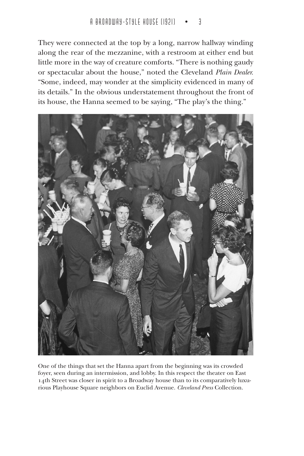They were connected at the top by a long, narrow hallway winding along the rear of the mezzanine, with a restroom at either end but little more in the way of creature comforts. "There is nothing gaudy or spectacular about the house," noted the Cleveland *Plain Dealer.* "Some, indeed, may wonder at the simplicity evidenced in many of its details." In the obvious understatement throughout the front of its house, the Hanna seemed to be saying, "The play's the thing."



One of the things that set the Hanna apart from the beginning was its crowded foyer, seen during an intermission, and lobby. In this respect the theater on East 14th Street was closer in spirit to a Broadway house than to its comparatively luxurious Playhouse Square neighbors on Euclid Avenue. *Cleveland Press* Collection.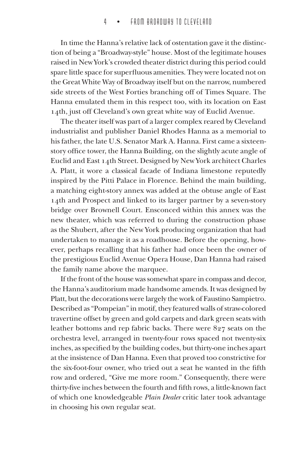In time the Hanna's relative lack of ostentation gave it the distinction of being a "Broadway-style" house. Most of the legitimate houses raised in New York's crowded theater district during this period could spare little space for superfluous amenities. They were located not on the Great White Way of Broadway itself but on the narrow, numbered side streets of the West Forties branching off of Times Square. The Hanna emulated them in this respect too, with its location on East 14th, just off Cleveland's own great white way of Euclid Avenue.

The theater itself was part of a larger complex reared by Cleveland industrialist and publisher Daniel Rhodes Hanna as a memorial to his father, the late U.S. Senator Mark A. Hanna. First came a sixteenstory office tower, the Hanna Building, on the slightly acute angle of Euclid and East 14th Street. Designed by New York architect Charles A. Platt, it wore a classical facade of Indiana limestone reputedly inspired by the Pitti Palace in Florence. Behind the main building, a matching eight-story annex was added at the obtuse angle of East 14th and Prospect and linked to its larger partner by a seven-story bridge over Brownell Court. Ensconced within this annex was the new theater, which was referred to during the construction phase as the Shubert, after the New York producing organization that had undertaken to manage it as a roadhouse. Before the opening, however, perhaps recalling that his father had once been the owner of the prestigious Euclid Avenue Opera House, Dan Hanna had raised the family name above the marquee.

If the front of the house was somewhat spare in compass and decor, the Hanna's auditorium made handsome amends. It was designed by Platt, but the decorations were largely the work of Faustino Sampietro. Described as "Pompeian" in motif, they featured walls of straw-colored travertine offset by green and gold carpets and dark green seats with leather bottoms and rep fabric backs. There were 827 seats on the orchestra level, arranged in twenty-four rows spaced not twenty-six inches, as specified by the building codes, but thirty-one inches apart at the insistence of Dan Hanna. Even that proved too constrictive for the six-foot-four owner, who tried out a seat he wanted in the fifth row and ordered, "Give me more room." Consequently, there were thirty-five inches between the fourth and fifth rows, a little-known fact of which one knowledgeable *Plain Dealer* critic later took advantage in choosing his own regular seat.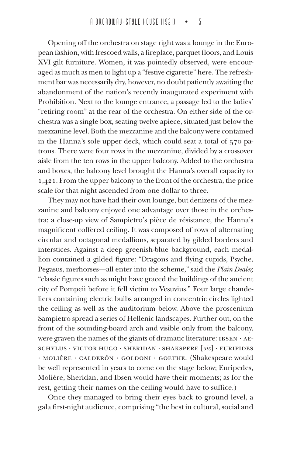Opening off the orchestra on stage right was a lounge in the European fashion, with frescoed walls, a fireplace, parquet floors, and Louis XVI gilt furniture. Women, it was pointedly observed, were encouraged as much as men to light up a "festive cigarette" here. The refreshment bar was necessarily dry, however, no doubt patiently awaiting the abandonment of the nation's recently inaugurated experiment with Prohibition. Next to the lounge entrance, a passage led to the ladies' "retiring room" at the rear of the orchestra. On either side of the orchestra was a single box, seating twelve apiece, situated just below the mezzanine level. Both the mezzanine and the balcony were contained in the Hanna's sole upper deck, which could seat a total of 570 patrons. There were four rows in the mezzanine, divided by a crossover aisle from the ten rows in the upper balcony. Added to the orchestra and boxes, the balcony level brought the Hanna's overall capacity to 1,421. From the upper balcony to the front of the orchestra, the price scale for that night ascended from one dollar to three.

They may not have had their own lounge, but denizens of the mezzanine and balcony enjoyed one advantage over those in the orchestra: a close-up view of Sampietro's pièce de résistance, the Hanna's magnificent coffered ceiling. It was composed of rows of alternating circular and octagonal medallions, separated by gilded borders and interstices. Against a deep greenish-blue background, each medallion contained a gilded figure: "Dragons and flying cupids, Psyche, Pegasus, merhorses—all enter into the scheme," said the *Plain Dealer,* "classic figures such as might have graced the buildings of the ancient city of Pompeii before it fell victim to Vesuvius." Four large chandeliers containing electric bulbs arranged in concentric circles lighted the ceiling as well as the auditorium below. Above the proscenium Sampietro spread a series of Hellenic landscapes. Further out, on the front of the sounding-board arch and visible only from the balcony, were graven the names of the giants of dramatic literature: IBSEN · AEschylus · Victor Hugo · Sheridan · Shakspere [*sic*] · Euripides · Molière · Calderón · Goldoni · Goethe. (Shakespeare would be well represented in years to come on the stage below; Euripedes, Molière, Sheridan, and Ibsen would have their moments; as for the rest, getting their names on the ceiling would have to suffice.)

Once they managed to bring their eyes back to ground level, a gala first-night audience, comprising "the best in cultural, social and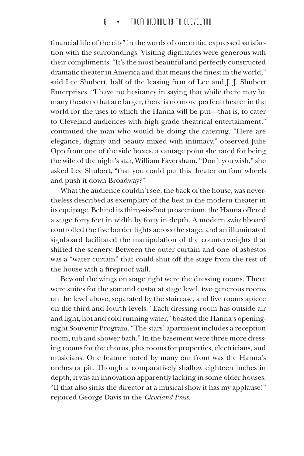financial life of the city" in the words of one critic, expressed satisfaction with the surroundings. Visiting dignitaries were generous with their compliments. "It's the most beautiful and perfectly constructed dramatic theater in America and that means the finest in the world," said Lee Shubert, half of the leasing firm of Lee and J. J. Shubert Enterprises. "I have no hesitancy in saying that while there may be many theaters that are larger, there is no more perfect theater in the world for the uses to which the Hanna will be put—that is, to cater to Cleveland audiences with high grade theatrical entertainment," continued the man who would be doing the catering. "Here are elegance, dignity and beauty mixed with intimacy," observed Julie Opp from one of the side boxes, a vantage point she rated for being the wife of the night's star, William Faversham. "Don't you wish," she asked Lee Shubert, "that you could put this theater on four wheels and push it down Broadway?"

What the audience couldn't see, the back of the house, was nevertheless described as exemplary of the best in the modern theater in its equipage. Behind its thirty-six-foot proscenium, the Hanna offered a stage forty feet in width by forty in depth. A modern switchboard controlled the five border lights across the stage, and an illuminated signboard facilitated the manipulation of the counterweights that shifted the scenery. Between the outer curtain and one of asbestos was a "water curtain" that could shut off the stage from the rest of the house with a fireproof wall.

Beyond the wings on stage right were the dressing rooms. There were suites for the star and costar at stage level, two generous rooms on the level above, separated by the staircase, and five rooms apiece on the third and fourth levels. "Each dressing room has outside air and light, hot and cold running water," boasted the Hanna's openingnight Souvenir Program. "The stars' apartment includes a reception room, tub and shower bath." In the basement were three more dressing rooms for the chorus, plus rooms for properties, electricians, and musicians. One feature noted by many out front was the Hanna's orchestra pit. Though a comparatively shallow eighteen inches in depth, it was an innovation apparently lacking in some older houses. "If that also sinks the director at a musical show it has my applause!" rejoiced George Davis in the *Cleveland Press.*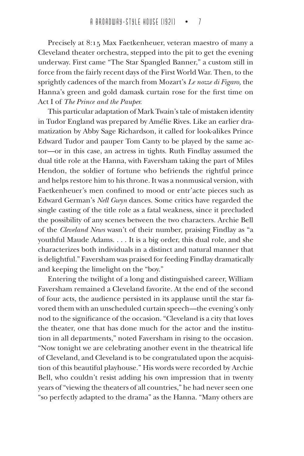Precisely at 8:15 Max Faetkenheuer, veteran maestro of many a Cleveland theater orchestra, stepped into the pit to get the evening underway. First came "The Star Spangled Banner," a custom still in force from the fairly recent days of the First World War. Then, to the sprightly cadences of the march from Mozart's *Le nozze di Figaro,* the Hanna's green and gold damask curtain rose for the first time on Act I of *The Prince and the Pauper.*

This particular adaptation of Mark Twain's tale of mistaken identity in Tudor England was prepared by Amélie Rives. Like an earlier dramatization by Abby Sage Richardson, it called for look-alikes Prince Edward Tudor and pauper Tom Canty to be played by the same actor—or in this case, an actress in tights. Ruth Findlay assumed the dual title role at the Hanna, with Faversham taking the part of Miles Hendon, the soldier of fortune who befriends the rightful prince and helps restore him to his throne. It was a nonmusical version, with Faetkenheuer's men confined to mood or entr'acte pieces such as Edward German's *Nell Gwyn* dances. Some critics have regarded the single casting of the title role as a fatal weakness, since it precluded the possibility of any scenes between the two characters. Archie Bell of the *Cleveland News* wasn't of their number, praising Findlay as "a youthful Maude Adams. . . . It is a big order, this dual role, and she characterizes both individuals in a distinct and natural manner that is delightful." Faversham was praised for feeding Findlay dramatically and keeping the limelight on the "boy."

Entering the twilight of a long and distinguished career, William Faversham remained a Cleveland favorite. At the end of the second of four acts, the audience persisted in its applause until the star favored them with an unscheduled curtain speech—the evening's only nod to the significance of the occasion. "Cleveland is a city that loves the theater, one that has done much for the actor and the institution in all departments," noted Faversham in rising to the occasion. "Now tonight we are celebrating another event in the theatrical life of Cleveland, and Cleveland is to be congratulated upon the acquisition of this beautiful playhouse." His words were recorded by Archie Bell, who couldn't resist adding his own impression that in twenty years of "viewing the theaters of all countries," he had never seen one "so perfectly adapted to the drama" as the Hanna. "Many others are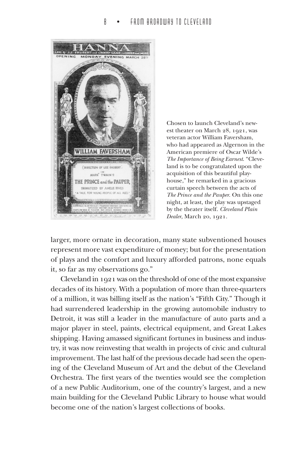

Chosen to launch Cleveland's newest theater on March 28, 1921, was veteran actor William Faversham, who had appeared as Algernon in the American premiere of Oscar Wilde's *The Importance of Being Earnest*. "Cleveland is to be congratulated upon the acquisition of this beautiful playhouse," he remarked in a gracious curtain speech between the acts of *The Prince and the Pauper*. On this one night, at least, the play was upstaged by the theater itself. *Cleveland Plain Dealer*, March 20, 1921.

larger, more ornate in decoration, many state subventioned houses represent more vast expenditure of money; but for the presentation of plays and the comfort and luxury afforded patrons, none equals it, so far as my observations go."

Cleveland in 1921 was on the threshold of one of the most expansive decades of its history. With a population of more than three-quarters of a million, it was billing itself as the nation's "Fifth City." Though it had surrendered leadership in the growing automobile industry to Detroit, it was still a leader in the manufacture of auto parts and a major player in steel, paints, electrical equipment, and Great Lakes shipping. Having amassed significant fortunes in business and industry, it was now reinvesting that wealth in projects of civic and cultural improvement. The last half of the previous decade had seen the opening of the Cleveland Museum of Art and the debut of the Cleveland Orchestra. The first years of the twenties would see the completion of a new Public Auditorium, one of the country's largest, and a new main building for the Cleveland Public Library to house what would become one of the nation's largest collections of books.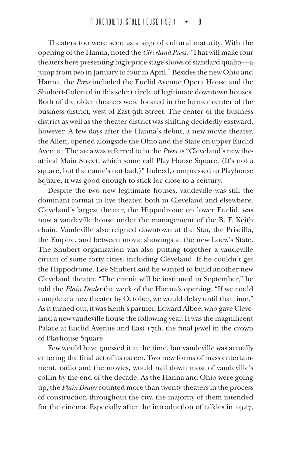Theaters too were seen as a sign of cultural maturity. With the opening of the Hanna, noted the *Cleveland Press,* "That will make four theaters here presenting high-price stage shows of standard quality—a jump from two in January to four in April." Besides the new Ohio and Hanna, the *Press* included the Euclid Avenue Opera House and the Shubert-Colonial in this select circle of legitimate downtown houses. Both of the older theaters were located in the former center of the business district, west of East 9th Street. The center of the business district as well as the theater district was shifting decidedly eastward, however. A few days after the Hanna's debut, a new movie theater, the Allen, opened alongside the Ohio and the State on upper Euclid Avenue. The area was referred to in the *Press* as "Cleveland's new theatrical Main Street, which some call Play House Square. (It's not a square, but the name's not bad.)" Indeed, compressed to Playhouse Square, it was good enough to stick for close to a century.

Despite the two new legitimate houses, vaudeville was still the dominant format in live theater, both in Cleveland and elsewhere. Cleveland's largest theater, the Hippodrome on lower Euclid, was now a vaudeville house under the management of the B. F. Keith chain. Vaudeville also reigned downtown at the Star, the Priscilla, the Empire, and between movie showings at the new Loew's State. The Shubert organization was also putting together a vaudeville circuit of some forty cities, including Cleveland. If he couldn't get the Hippodrome, Lee Shubert said he wanted to build another new Cleveland theater. "The circuit will be instituted in September," he told the *Plain Dealer* the week of the Hanna's opening. "If we could complete a new theater by October, we would delay until that time." As it turned out, it was Keith's partner, Edward Albee, who gave Cleveland a new vaudeville house the following year. It was the magnificent Palace at Euclid Avenue and East 17th, the final jewel in the crown of Playhouse Square.

Few would have guessed it at the time, but vaudeville was actually entering the final act of its career. Two new forms of mass entertainment, radio and the movies, would nail down most of vaudeville's coffin by the end of the decade. As the Hanna and Ohio were going up, the *Plain Dealer* counted more than twenty theaters in the process of construction throughout the city, the majority of them intended for the cinema. Especially after the introduction of talkies in 1927,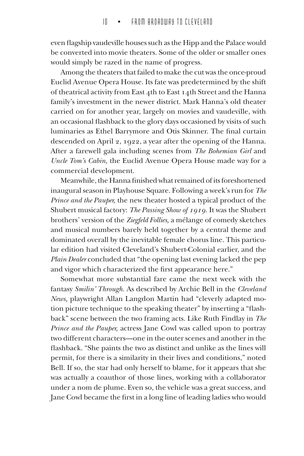even flagship vaudeville houses such as the Hipp and the Palace would be converted into movie theaters. Some of the older or smaller ones would simply be razed in the name of progress.

Among the theaters that failed to make the cut was the once-proud Euclid Avenue Opera House. Its fate was predetermined by the shift of theatrical activity from East 4th to East 14th Street and the Hanna family's investment in the newer district. Mark Hanna's old theater carried on for another year, largely on movies and vaudeville, with an occasional flashback to the glory days occasioned by visits of such luminaries as Ethel Barrymore and Otis Skinner. The final curtain descended on April 2, 1922, a year after the opening of the Hanna. After a farewell gala including scenes from *The Bohemian Girl* and *Uncle Tom's Cabin,* the Euclid Avenue Opera House made way for a commercial development.

Meanwhile, the Hanna finished what remained of its foreshortened inaugural season in Playhouse Square. Following a week's run for *The Prince and the Pauper,* the new theater hosted a typical product of the Shubert musical factory: *The Passing Show of 1919.* It was the Shubert brothers' version of the *Ziegfeld Follies,* a mélange of comedy sketches and musical numbers barely held together by a central theme and dominated overall by the inevitable female chorus line. This particular edition had visited Cleveland's Shubert-Colonial earlier, and the *Plain Dealer* concluded that "the opening last evening lacked the pep and vigor which characterized the first appearance here."

Somewhat more substantial fare came the next week with the fantasy *Smilin' Through.* As described by Archie Bell in the *Cleveland News,* playwright Allan Langdon Martin had "cleverly adapted motion picture technique to the speaking theater" by inserting a "flashback" scene between the two framing acts. Like Ruth Findlay in *The Prince and the Pauper,* actress Jane Cowl was called upon to portray two different characters—one in the outer scenes and another in the flashback. "She paints the two as distinct and unlike as the lines will permit, for there is a similarity in their lives and conditions," noted Bell. If so, the star had only herself to blame, for it appears that she was actually a coauthor of those lines, working with a collaborator under a nom de plume. Even so, the vehicle was a great success, and Jane Cowl became the first in a long line of leading ladies who would